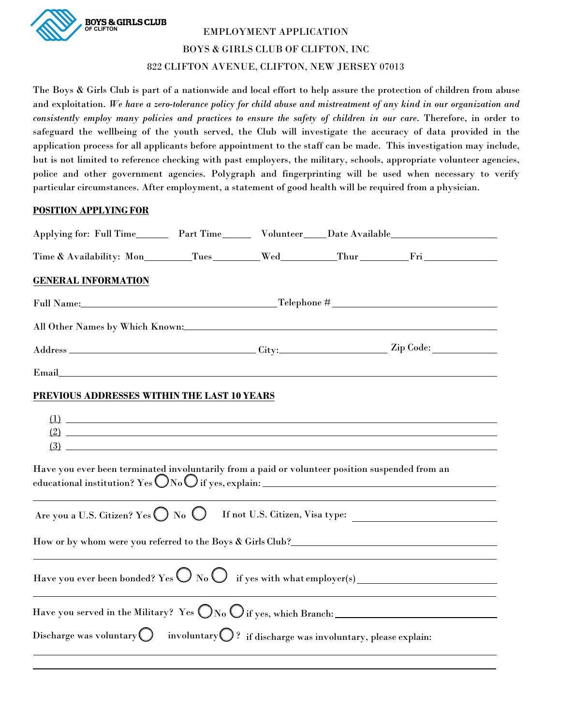

#### EMPLOYMENT APPLICATION

### BOYS & GIRLS CLUB OF CLIFTON, INC

### 822 CLIFTON AVENUE, CLIFTON, NEW JERSEY 07013

The Boys & Girls Club is part of a nationwide and local effort to help assure the protection of children from abuse and exploitation. *We have a zero-tolerance policy for child abuse and mistreatment of any kind in our organization and consistently employ many policies and practices to ensure the safety of children in our care*. Therefore, in order to safeguard the wellbeing of the youth served, the Club will investigate the accuracy of data provided in the application process for all applicants before appointment to the staff can be made. This investigation may include, but is not limited to reference checking with past employers, the military, schools, appropriate volunteer agencies, police and other government agencies. Polygraph and fingerprinting will be used when necessary to verify particular circumstances. After employment, a statement of good health will be required from a physician.

### **POSITION APPLYING FOR**

| Applying for: Full Time_________ Part Time__________ Volunteer_____Date Available___________________                                                                                                                                                                                                                                                                                                                                                                                                                                                                                                                                                                                     |  |  |
|------------------------------------------------------------------------------------------------------------------------------------------------------------------------------------------------------------------------------------------------------------------------------------------------------------------------------------------------------------------------------------------------------------------------------------------------------------------------------------------------------------------------------------------------------------------------------------------------------------------------------------------------------------------------------------------|--|--|
|                                                                                                                                                                                                                                                                                                                                                                                                                                                                                                                                                                                                                                                                                          |  |  |
| <b>GENERAL INFORMATION</b>                                                                                                                                                                                                                                                                                                                                                                                                                                                                                                                                                                                                                                                               |  |  |
|                                                                                                                                                                                                                                                                                                                                                                                                                                                                                                                                                                                                                                                                                          |  |  |
| All Other Names by Which Known: All Other Names by Which Known:                                                                                                                                                                                                                                                                                                                                                                                                                                                                                                                                                                                                                          |  |  |
|                                                                                                                                                                                                                                                                                                                                                                                                                                                                                                                                                                                                                                                                                          |  |  |
| Email <b>Exercise Contract Contract Contract Contract Contract Contract Contract Contract Contract Contract Contract Contract Contract Contract Contract Contract Contract Contract Contract Contract Contract Contract Contract</b>                                                                                                                                                                                                                                                                                                                                                                                                                                                     |  |  |
| PREVIOUS ADDRESSES WITHIN THE LAST 10 YEARS                                                                                                                                                                                                                                                                                                                                                                                                                                                                                                                                                                                                                                              |  |  |
| $\left(1\right)$ and $\left(1\right)$ and $\left(1\right)$ and $\left(1\right)$ and $\left(1\right)$ and $\left(1\right)$ and $\left(1\right)$ and $\left(1\right)$ and $\left(1\right)$ and $\left(1\right)$ and $\left(1\right)$ and $\left(1\right)$ and $\left(1\right)$ and $\left(1\right)$ and $\left(1\right)$ and $\left(1\right)$ a<br>$\left(2\right)$ $\frac{1}{2}$ $\frac{1}{2}$ $\frac{1}{2}$ $\frac{1}{2}$ $\frac{1}{2}$ $\frac{1}{2}$ $\frac{1}{2}$ $\frac{1}{2}$ $\frac{1}{2}$ $\frac{1}{2}$ $\frac{1}{2}$ $\frac{1}{2}$ $\frac{1}{2}$ $\frac{1}{2}$ $\frac{1}{2}$ $\frac{1}{2}$ $\frac{1}{2}$ $\frac{1}{2}$ $\frac{1}{2}$ $\frac{1}{2}$ $\frac{1}{2}$<br>$\frac{3}{2}$ |  |  |
| Have you ever been terminated involuntarily from a paid or volunteer position suspended from an                                                                                                                                                                                                                                                                                                                                                                                                                                                                                                                                                                                          |  |  |
|                                                                                                                                                                                                                                                                                                                                                                                                                                                                                                                                                                                                                                                                                          |  |  |
|                                                                                                                                                                                                                                                                                                                                                                                                                                                                                                                                                                                                                                                                                          |  |  |
|                                                                                                                                                                                                                                                                                                                                                                                                                                                                                                                                                                                                                                                                                          |  |  |
|                                                                                                                                                                                                                                                                                                                                                                                                                                                                                                                                                                                                                                                                                          |  |  |
| Discharge was voluntary $\bigcirc$ involuntary $\bigcirc$ ? if discharge was involuntary, please explain:                                                                                                                                                                                                                                                                                                                                                                                                                                                                                                                                                                                |  |  |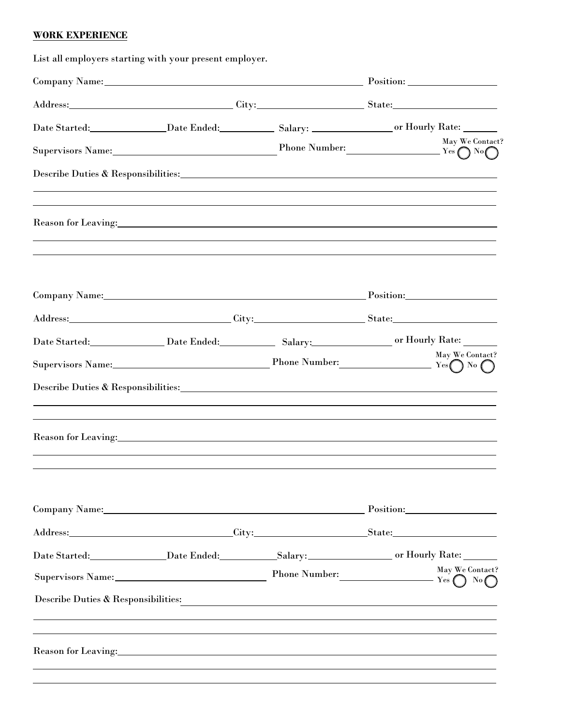## **WORK EXPERIENCE**

| List all employers starting with your present employer. |  |  |                                                                                                                                                                                                                                |  |
|---------------------------------------------------------|--|--|--------------------------------------------------------------------------------------------------------------------------------------------------------------------------------------------------------------------------------|--|
| Company Name: Position: Position:                       |  |  |                                                                                                                                                                                                                                |  |
|                                                         |  |  | Address: City: City: City: State:                                                                                                                                                                                              |  |
|                                                         |  |  | Date Started:_______________Date Ended:_____________Salary: _____________________or Hourly Rate: ________                                                                                                                      |  |
|                                                         |  |  | May We Contact?                                                                                                                                                                                                                |  |
|                                                         |  |  | Describe Duties & Responsibilities: New York Changes and Section 2014                                                                                                                                                          |  |
|                                                         |  |  | Reason for Leaving: with the contract of the contract of the contract of the contract of the contract of the contract of the contract of the contract of the contract of the contract of the contract of the contract of the c |  |
|                                                         |  |  | Company Name: Position: Position:                                                                                                                                                                                              |  |
|                                                         |  |  | Address: City: City: State: State:                                                                                                                                                                                             |  |
|                                                         |  |  | Date Started:_______________Date Ended:_____________Salary:_____________________or Hourly Rate:___________                                                                                                                     |  |
|                                                         |  |  | May We Contact?<br>Supervisors Name: Phone Number: Phone Number: $Y_{\text{res}}$ No $\bigcap_{N \in \mathbb{N}} N_N$                                                                                                          |  |
|                                                         |  |  | Describe Duties & Responsibilities:                                                                                                                                                                                            |  |
|                                                         |  |  | Reason for Leaving: New York Changes and Section 2014 19:00 the Section 2014 19:00 19:00 19:00 19:00 19:00 19:00 19:00 19:00 19:00 19:00 19:00 19:00 19:00 19:00 19:00 19:00 19:00 19:00 19:00 19:00 19:00 19:00 19:00 19:00 1 |  |
|                                                         |  |  | Company Name: Position: Position: Position:                                                                                                                                                                                    |  |
|                                                         |  |  |                                                                                                                                                                                                                                |  |
|                                                         |  |  | Date Started:_______________Date Ended:___________Salary:________________________or Hourly Rate:_________                                                                                                                      |  |
|                                                         |  |  | May We Contact?<br>Supervisors Name: May We Contact?<br>May We Contact?                                                                                                                                                        |  |
| Describe Duties & Responsibilities:                     |  |  |                                                                                                                                                                                                                                |  |
|                                                         |  |  |                                                                                                                                                                                                                                |  |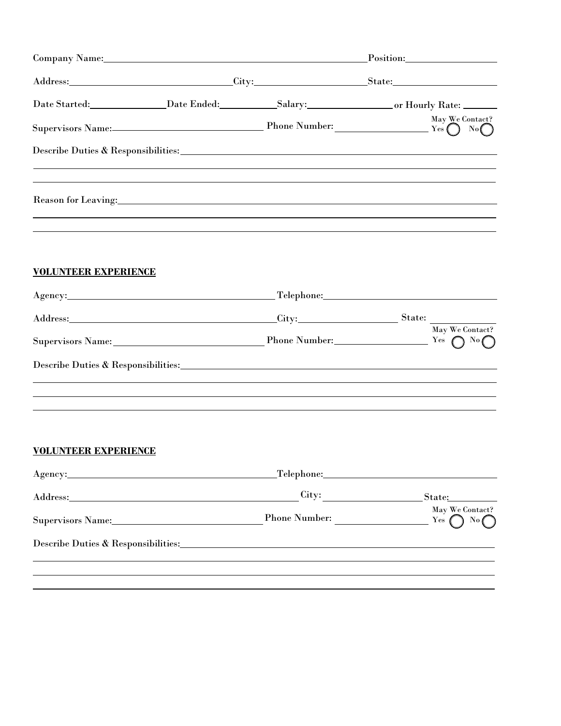|                             | Company Name: Name:<br>Position:                                                                                                                                                                                                                                              |  |                 |  |
|-----------------------------|-------------------------------------------------------------------------------------------------------------------------------------------------------------------------------------------------------------------------------------------------------------------------------|--|-----------------|--|
|                             | Address: City: City: State: State:                                                                                                                                                                                                                                            |  |                 |  |
|                             | Date Started:_______________Date Ended:___________Salary:________________________or Hourly Rate: ________                                                                                                                                                                     |  |                 |  |
|                             | Supervisors Name: Phone Number: Phone Number: $Y_{\text{res}}$ ( ) No                                                                                                                                                                                                         |  | May We Contact? |  |
|                             | ,我们也不会有什么。""我们的人,我们也不会有什么?""我们的人,我们也不会有什么?""我们的人,我们也不会有什么?""我们的人,我们也不会有什么?""我们的人                                                                                                                                                                                              |  |                 |  |
|                             | Reason for Leaving: New York Changes and Section 2014 19:30 and 2014 19:30 and 2014 19:30 and 2014 19:30 and 2014 19:30 and 2014 19:30 and 2014 19:30 and 2014 19:30 and 2014 19:30 and 2014 19:30 and 2014 19:30 and 2014 19:                                                |  |                 |  |
| <b>VOLUNTEER EXPERIENCE</b> | Agency: Telephone: Telephone: Telephone: Telephone: Telephone: Telephone: Telephone: Telephone: Telephone: Telephone: Telephone: Telephone: Telephone: Telephone: Telephone: Telephone: Telephone: Telephone: Telephone: Telep                                                |  |                 |  |
|                             |                                                                                                                                                                                                                                                                               |  |                 |  |
|                             | Address: City: City: City: State: City: State: City: City: City: State: City: City: City: City: City: City: City: City: City: City: City: City: City: City: City: City: City: City: City: City: City: City: City: City: City:<br>Supervisors Name: Phone Number: Yes no No No |  | May We Contact? |  |
|                             |                                                                                                                                                                                                                                                                               |  |                 |  |
|                             | ,我们也不会有什么。""我们的人,我们也不会有什么?""我们的人,我们也不会有什么?""我们的人,我们也不会有什么?""我们的人,我们也不会有什么?""我们的人                                                                                                                                                                                              |  |                 |  |
|                             |                                                                                                                                                                                                                                                                               |  |                 |  |
|                             |                                                                                                                                                                                                                                                                               |  |                 |  |

# **VOLUNTEER EXPERIENCE**

| Address: No. 1998. The Manual Science of the Manual Science of the Manual Science of the Manual Science of the Manual Science of the Manual Science of the Manual Science of the Manual Science of the Manual Science of the M | $\frac{City:$        | State:                              |
|--------------------------------------------------------------------------------------------------------------------------------------------------------------------------------------------------------------------------------|----------------------|-------------------------------------|
| Supervisors Name:                                                                                                                                                                                                              | <b>Phone Number:</b> | May We Contact?<br>Yes $\bigcap$ No |
| Describe Duties & Responsibilities: New York Contract to the United States of the United States of the United States of the United States of the United States of the United States of the United States of the United States  |                      |                                     |
|                                                                                                                                                                                                                                |                      |                                     |